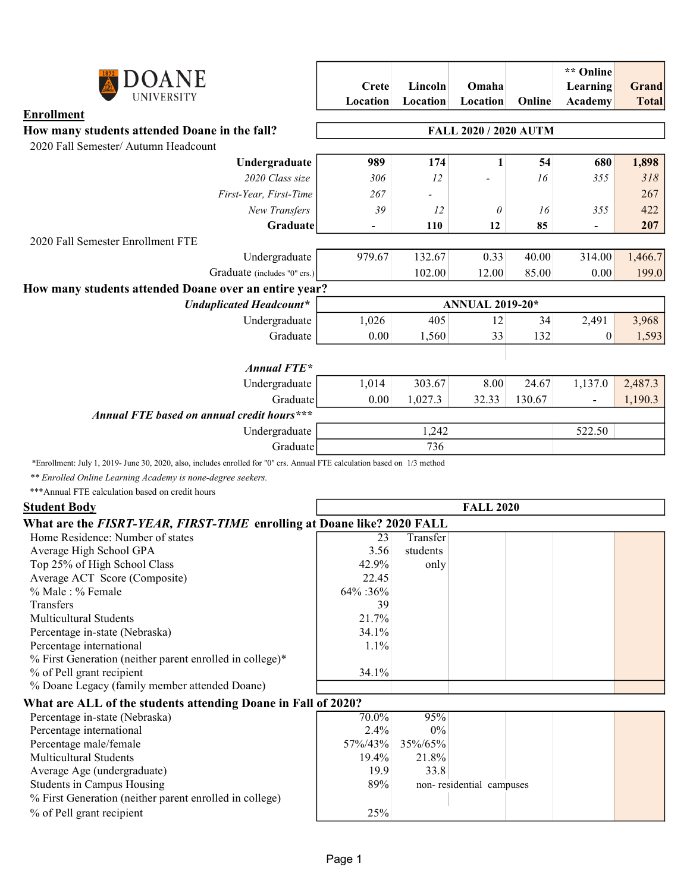|                                                                                                                           |                  |                  |                              |        | ** Online        |              |
|---------------------------------------------------------------------------------------------------------------------------|------------------|------------------|------------------------------|--------|------------------|--------------|
|                                                                                                                           | Crete            | Lincoln          | Omaha                        |        | Learning         | Grand        |
|                                                                                                                           | Location         | Location         | Location                     | Online | Academy          | <b>Total</b> |
| <b>Enrollment</b>                                                                                                         |                  |                  |                              |        |                  |              |
| How many students attended Doane in the fall?                                                                             |                  |                  | <b>FALL 2020 / 2020 AUTM</b> |        |                  |              |
| 2020 Fall Semester/ Autumn Headcount                                                                                      |                  |                  |                              |        |                  |              |
| Undergraduate                                                                                                             | 989              | 174              | $\mathbf{1}$                 | 54     | 680              | 1,898        |
| 2020 Class size                                                                                                           | 306              | 12               |                              | 16     | 355              | 318          |
| First-Year, First-Time                                                                                                    | 267              |                  |                              |        |                  | 267          |
| New Transfers                                                                                                             | 39               | 12               | 0                            | 16     | 355              | 422          |
| Graduate                                                                                                                  | ۰                | 110              | 12                           | 85     | $\overline{a}$   | 207          |
| 2020 Fall Semester Enrollment FTE                                                                                         |                  |                  |                              |        |                  |              |
| Undergraduate                                                                                                             | 979.67           | 132.67           | 0.33                         | 40.00  | 314.00           | 1,466.7      |
| Graduate (includes "0" crs.)                                                                                              |                  | 102.00           | 12.00                        | 85.00  | 0.00             | 199.0        |
| How many students attended Doane over an entire year?                                                                     |                  |                  |                              |        |                  |              |
| <b>Unduplicated Headcount*</b>                                                                                            |                  |                  | <b>ANNUAL 2019-20*</b>       |        |                  |              |
| Undergraduate                                                                                                             | 1,026            | 405              | 12                           | 34     | 2,491            | 3,968        |
| Graduate                                                                                                                  | 0.00             | 1,560            | 33                           | 132    | $\boldsymbol{0}$ | 1,593        |
|                                                                                                                           |                  |                  |                              |        |                  |              |
| <b>Annual FTE*</b>                                                                                                        |                  |                  |                              |        |                  |              |
| Undergraduate                                                                                                             | 1,014            | 303.67           | 8.00                         | 24.67  | 1,137.0          | 2,487.3      |
| Graduate                                                                                                                  | 0.00             | 1,027.3          | 32.33                        | 130.67 |                  | 1,190.3      |
| Annual FTE based on annual credit hours***                                                                                |                  |                  |                              |        |                  |              |
| Undergraduate                                                                                                             |                  | 1,242            |                              |        | 522.50           |              |
| Graduate                                                                                                                  |                  | 736              |                              |        |                  |              |
| *Enrollment: July 1, 2019- June 30, 2020, also, includes enrolled for "0" crs. Annual FTE calculation based on 1/3 method |                  |                  |                              |        |                  |              |
| ** Enrolled Online Learning Academy is none-degree seekers.                                                               |                  |                  |                              |        |                  |              |
| *** Annual FTE calculation based on credit hours                                                                          |                  |                  |                              |        |                  |              |
| <b>Student Body</b>                                                                                                       |                  |                  | <b>FALL 2020</b>             |        |                  |              |
| What are the FISRT-YEAR, FIRST-TIME enrolling at Doane like? 2020 FALL                                                    |                  |                  |                              |        |                  |              |
| Home Residence: Number of states                                                                                          | 23               | Transfer         |                              |        |                  |              |
| Average High School GPA                                                                                                   | 3.56             | students         |                              |        |                  |              |
| Top 25% of High School Class                                                                                              | 42.9%            | only             |                              |        |                  |              |
| Average ACT Score (Composite)                                                                                             | 22.45            |                  |                              |        |                  |              |
| % Male: % Female                                                                                                          | 64% :36%         |                  |                              |        |                  |              |
| Transfers<br><b>Multicultural Students</b>                                                                                | 39<br>21.7%      |                  |                              |        |                  |              |
| Percentage in-state (Nebraska)                                                                                            | 34.1%            |                  |                              |        |                  |              |
| Percentage international                                                                                                  | 1.1%             |                  |                              |        |                  |              |
| % First Generation (neither parent enrolled in college)*                                                                  |                  |                  |                              |        |                  |              |
| % of Pell grant recipient                                                                                                 | 34.1%            |                  |                              |        |                  |              |
| % Doane Legacy (family member attended Doane)                                                                             |                  |                  |                              |        |                  |              |
| What are ALL of the students attending Doane in Fall of 2020?                                                             |                  |                  |                              |        |                  |              |
| Percentage in-state (Nebraska)                                                                                            | 70.0%            | 95%              |                              |        |                  |              |
| Percentage international                                                                                                  | 2.4%             | $0\%$            |                              |        |                  |              |
| Percentage male/female<br><b>Multicultural Students</b>                                                                   | 57%/43%<br>19.4% | 35%/65%<br>21.8% |                              |        |                  |              |
| Average Age (undergraduate)                                                                                               | 19.9             | 33.8             |                              |        |                  |              |
| <b>Students in Campus Housing</b>                                                                                         | 89%              |                  | non-residential campuses     |        |                  |              |
| % First Generation (neither parent enrolled in college)                                                                   |                  |                  |                              |        |                  |              |
| % of Pell grant recipient                                                                                                 | 25%              |                  |                              |        |                  |              |
|                                                                                                                           |                  |                  |                              |        |                  |              |